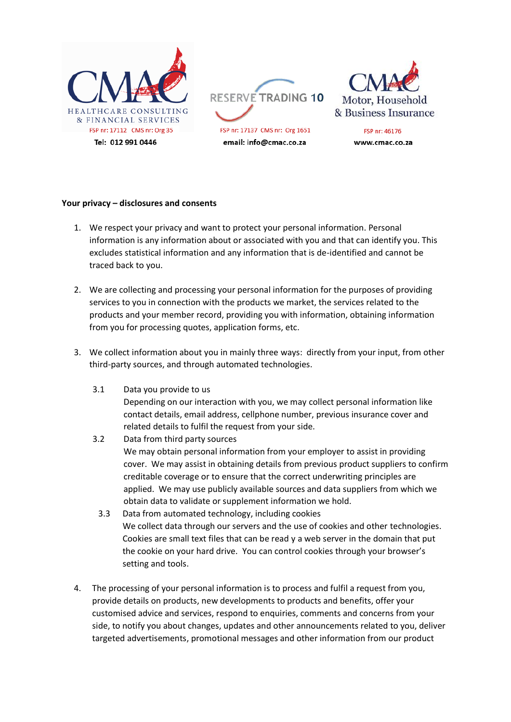

## **Your privacy – disclosures and consents**

- 1. We respect your privacy and want to protect your personal information. Personal information is any information about or associated with you and that can identify you. This excludes statistical information and any information that is de-identified and cannot be traced back to you.
- 2. We are collecting and processing your personal information for the purposes of providing services to you in connection with the products we market, the services related to the products and your member record, providing you with information, obtaining information from you for processing quotes, application forms, etc.
- 3. We collect information about you in mainly three ways: directly from your input, from other third-party sources, and through automated technologies.
	- 3.1 Data you provide to us Depending on our interaction with you, we may collect personal information like contact details, email address, cellphone number, previous insurance cover and related details to fulfil the request from your side.
	- 3.2 Data from third party sources We may obtain personal information from your employer to assist in providing cover. We may assist in obtaining details from previous product suppliers to confirm creditable coverage or to ensure that the correct underwriting principles are applied. We may use publicly available sources and data suppliers from which we obtain data to validate or supplement information we hold.
		- 3.3 Data from automated technology, including cookies We collect data through our servers and the use of cookies and other technologies. Cookies are small text files that can be read y a web server in the domain that put the cookie on your hard drive. You can control cookies through your browser's setting and tools.
- 4. The processing of your personal information is to process and fulfil a request from you, provide details on products, new developments to products and benefits, offer your customised advice and services, respond to enquiries, comments and concerns from your side, to notify you about changes, updates and other announcements related to you, deliver targeted advertisements, promotional messages and other information from our product